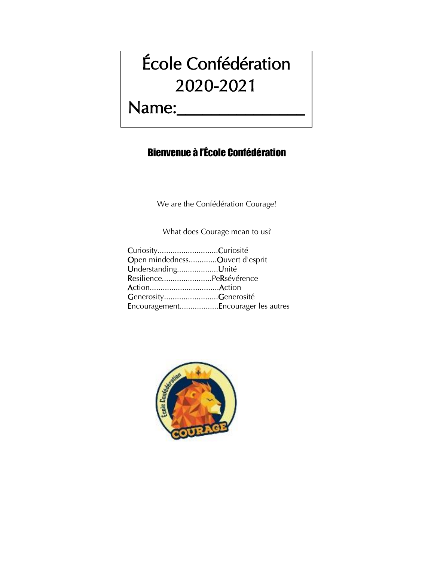# École Confédération 2020-2021

## Name:\_\_\_\_\_\_\_\_\_\_\_\_\_\_\_

## Bienvenue à l'École Confédération

We are the Confédération Courage!

What does Courage mean to us?

| CuriosityCuriosité                 |
|------------------------------------|
| Open mindednessOuvert d'esprit     |
| UnderstandingUnité                 |
| ResiliencePeRsévérence             |
| ActionAction                       |
| GenerosityGenerosité               |
| EncouragementEncourager les autres |
|                                    |

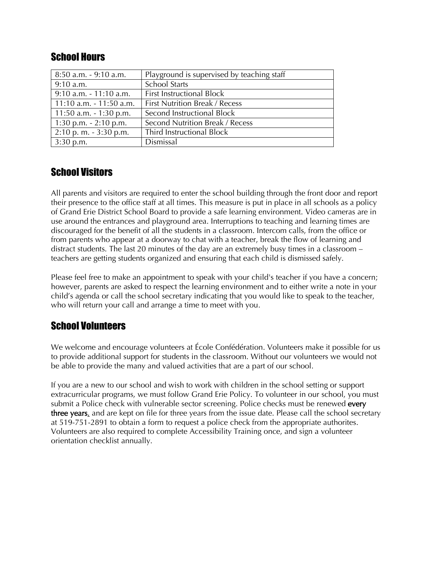| <b>School Hours</b> |  |
|---------------------|--|
|---------------------|--|

| 8:50 a.m. - 9:10 a.m.     | Playground is supervised by teaching staff |
|---------------------------|--------------------------------------------|
| $9:10$ a.m.               | <b>School Starts</b>                       |
| $9:10$ a.m. $-11:10$ a.m. | <b>First Instructional Block</b>           |
| 11:10 a.m. - 11:50 a.m.   | <b>First Nutrition Break / Recess</b>      |
| 11:50 a.m. $-1:30$ p.m.   | Second Instructional Block                 |
| 1:30 p.m. $-2:10$ p.m.    | Second Nutrition Break / Recess            |
| $2:10$ p. m. $-3:30$ p.m. | Third Instructional Block                  |
| $3:30$ p.m.               | Dismissal                                  |

#### School Visitors

All parents and visitors are required to enter the school building through the front door and report their presence to the office staff at all times. This measure is put in place in all schools as a policy of Grand Erie District School Board to provide a safe learning environment. Video cameras are in use around the entrances and playground area. Interruptions to teaching and learning times are discouraged for the benefit of all the students in a classroom. Intercom calls, from the office or from parents who appear at a doorway to chat with a teacher, break the flow of learning and distract students. The last 20 minutes of the day are an extremely busy times in a classroom – teachers are getting students organized and ensuring that each child is dismissed safely.

Please feel free to make an appointment to speak with your child's teacher if you have a concern; however, parents are asked to respect the learning environment and to either write a note in your child's agenda or call the school secretary indicating that you would like to speak to the teacher, who will return your call and arrange a time to meet with you.

#### School Volunteers

We welcome and encourage volunteers at École Confédération. Volunteers make it possible for us to provide additional support for students in the classroom. Without our volunteers we would not be able to provide the many and valued activities that are a part of our school.

If you are a new to our school and wish to work with children in the school setting or support extracurricular programs, we must follow Grand Erie Policy. To volunteer in our school, you must submit a Police check with vulnerable sector screening. Police checks must be renewed every three years, and are kept on file for three years from the issue date. Please call the school secretary at 519-751-2891 to obtain a form to request a police check from the appropriate authorites. Volunteers are also required to complete Accessibility Training once, and sign a volunteer orientation checklist annually.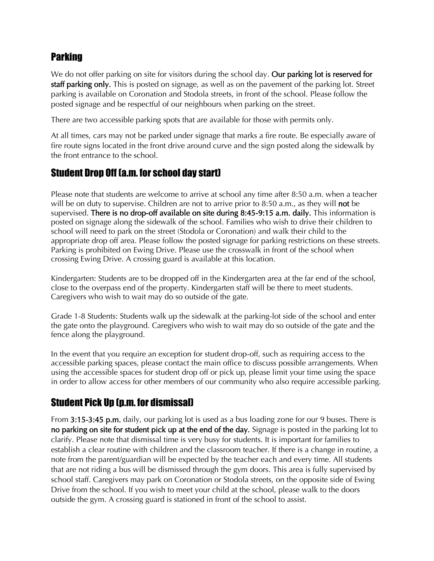#### **Parking**

We do not offer parking on site for visitors during the school day. Our parking lot is reserved for staff parking only. This is posted on signage, as well as on the pavement of the parking lot. Street parking is available on Coronation and Stodola streets, in front of the school. Please follow the posted signage and be respectful of our neighbours when parking on the street.

There are two accessible parking spots that are available for those with permits only.

At all times, cars may not be parked under signage that marks a fire route. Be especially aware of fire route signs located in the front drive around curve and the sign posted along the sidewalk by the front entrance to the school.

#### Student Drop Off (a.m. for school day start)

Please note that students are welcome to arrive at school any time after 8:50 a.m. when a teacher will be on duty to supervise. Children are not to arrive prior to 8:50 a.m., as they will **not** be supervised. There is no drop-off available on site during 8:45-9:15 a.m. daily. This information is posted on signage along the sidewalk of the school. Families who wish to drive their children to school will need to park on the street (Stodola or Coronation) and walk their child to the appropriate drop off area. Please follow the posted signage for parking restrictions on these streets. Parking is prohibited on Ewing Drive. Please use the crosswalk in front of the school when crossing Ewing Drive. A crossing guard is available at this location.

Kindergarten: Students are to be dropped off in the Kindergarten area at the far end of the school, close to the overpass end of the property. Kindergarten staff will be there to meet students. Caregivers who wish to wait may do so outside of the gate.

Grade 1-8 Students: Students walk up the sidewalk at the parking-lot side of the school and enter the gate onto the playground. Caregivers who wish to wait may do so outside of the gate and the fence along the playground.

In the event that you require an exception for student drop-off, such as requiring access to the accessible parking spaces, please contact the main office to discuss possible arrangements. When using the accessible spaces for student drop off or pick up, please limit your time using the space in order to allow access for other members of our community who also require accessible parking.

#### Student Pick Up (p.m. for dismissal)

From 3:15-3:45 p.m. daily, our parking lot is used as a bus loading zone for our 9 buses. There is no parking on site for student pick up at the end of the day. Signage is posted in the parking lot to clarify. Please note that dismissal time is very busy for students. It is important for families to establish a clear routine with children and the classroom teacher. If there is a change in routine, a note from the parent/guardian will be expected by the teacher each and every time. All students that are not riding a bus will be dismissed through the gym doors. This area is fully supervised by school staff. Caregivers may park on Coronation or Stodola streets, on the opposite side of Ewing Drive from the school. If you wish to meet your child at the school, please walk to the doors outside the gym. A crossing guard is stationed in front of the school to assist.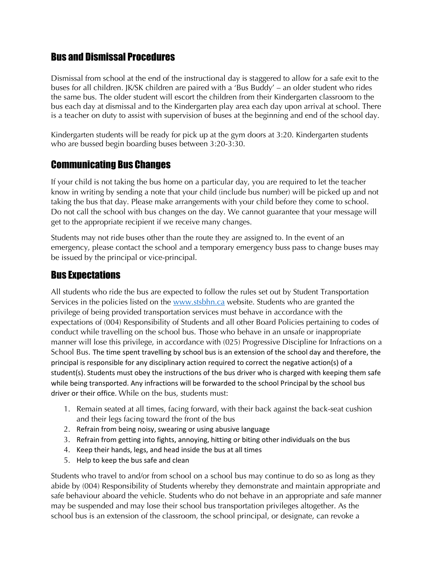#### Bus and Dismissal Procedures

Dismissal from school at the end of the instructional day is staggered to allow for a safe exit to the buses for all children. JK/SK children are paired with a 'Bus Buddy' – an older student who rides the same bus. The older student will escort the children from their Kindergarten classroom to the bus each day at dismissal and to the Kindergarten play area each day upon arrival at school. There is a teacher on duty to assist with supervision of buses at the beginning and end of the school day.

Kindergarten students will be ready for pick up at the gym doors at 3:20. Kindergarten students who are bussed begin boarding buses between 3:20-3:30.

#### Communicating Bus Changes

If your child is not taking the bus home on a particular day, you are required to let the teacher know in writing by sending a note that your child (include bus number) will be picked up and not taking the bus that day. Please make arrangements with your child before they come to school. Do not call the school with bus changes on the day. We cannot guarantee that your message will get to the appropriate recipient if we receive many changes.

Students may not ride buses other than the route they are assigned to. In the event of an emergency, please contact the school and a temporary emergency buss pass to change buses may be issued by the principal or vice-principal.

#### Bus Expectations

All students who ride the bus are expected to follow the rules set out by Student Transportation Services in the policies listed on the [www.stsbhn.ca](http://www.stsbhn.ca/) website. Students who are granted the privilege of being provided transportation services must behave in accordance with the expectations of (004) Responsibility of Students and all other Board Policies pertaining to codes of conduct while travelling on the school bus. Those who behave in an unsafe or inappropriate manner will lose this privilege, in accordance with (025) Progressive Discipline for Infractions on a School Bus. The time spent travelling by school bus is an extension of the school day and therefore, the principal is responsible for any disciplinary action required to correct the negative action(s) of a student(s). Students must obey the instructions of the bus driver who is charged with keeping them safe while being transported. Any infractions will be forwarded to the school Principal by the school bus driver or their office. While on the bus, students must:

- 1. Remain seated at all times, facing forward, with their back against the back-seat cushion and their legs facing toward the front of the bus
- 2. Refrain from being noisy, swearing or using abusive language
- 3. Refrain from getting into fights, annoying, hitting or biting other individuals on the bus
- 4. Keep their hands, legs, and head inside the bus at all times
- 5. Help to keep the bus safe and clean

Students who travel to and/or from school on a school bus may continue to do so as long as they abide by (004) Responsibility of Students whereby they demonstrate and maintain appropriate and safe behaviour aboard the vehicle. Students who do not behave in an appropriate and safe manner may be suspended and may lose their school bus transportation privileges altogether. As the school bus is an extension of the classroom, the school principal, or designate, can revoke a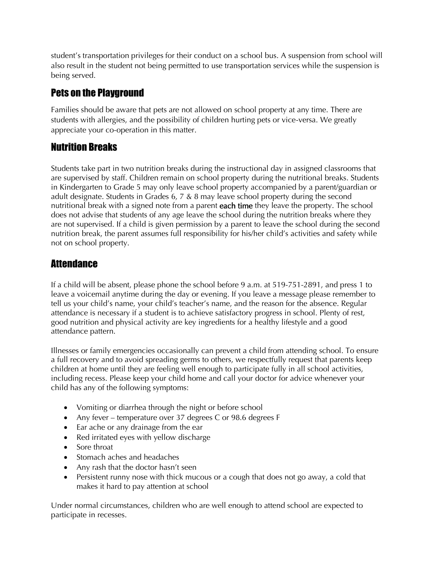student's transportation privileges for their conduct on a school bus. A suspension from school will also result in the student not being permitted to use transportation services while the suspension is being served.

## Pets on the Playground

Families should be aware that pets are not allowed on school property at any time. There are students with allergies, and the possibility of children hurting pets or vice-versa. We greatly appreciate your co-operation in this matter.

#### Nutrition Breaks

Students take part in two nutrition breaks during the instructional day in assigned classrooms that are supervised by staff. Children remain on school property during the nutritional breaks. Students in Kindergarten to Grade 5 may only leave school property accompanied by a parent/guardian or adult designate. Students in Grades 6, 7 & 8 may leave school property during the second nutritional break with a signed note from a parent each time they leave the property. The school does not advise that students of any age leave the school during the nutrition breaks where they are not supervised. If a child is given permission by a parent to leave the school during the second nutrition break, the parent assumes full responsibility for his/her child's activities and safety while not on school property.

#### **Attendance**

If a child will be absent, please phone the school before 9 a.m. at 519-751-2891, and press 1 to leave a voicemail anytime during the day or evening. If you leave a message please remember to tell us your child's name, your child's teacher's name, and the reason for the absence. Regular attendance is necessary if a student is to achieve satisfactory progress in school. Plenty of rest, good nutrition and physical activity are key ingredients for a healthy lifestyle and a good attendance pattern.

Illnesses or family emergencies occasionally can prevent a child from attending school. To ensure a full recovery and to avoid spreading germs to others, we respectfully request that parents keep children at home until they are feeling well enough to participate fully in all school activities, including recess. Please keep your child home and call your doctor for advice whenever your child has any of the following symptoms:

- Vomiting or diarrhea through the night or before school
- Any fever temperature over 37 degrees C or 98.6 degrees F
- Ear ache or any drainage from the ear
- Red irritated eyes with yellow discharge
- Sore throat
- Stomach aches and headaches
- Any rash that the doctor hasn't seen
- Persistent runny nose with thick mucous or a cough that does not go away, a cold that makes it hard to pay attention at school

Under normal circumstances, children who are well enough to attend school are expected to participate in recesses.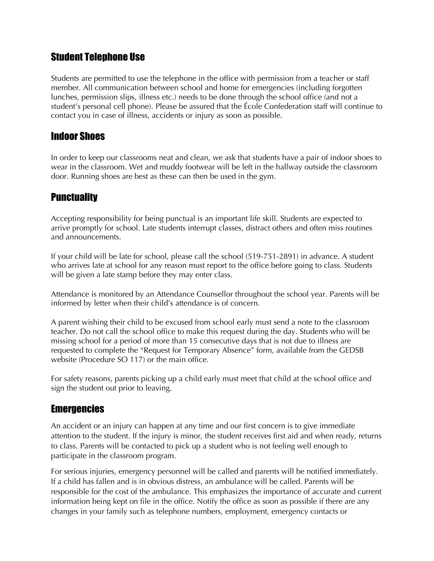#### Student Telephone Use

Students are permitted to use the telephone in the office with permission from a teacher or staff member. All communication between school and home for emergencies (including forgotten lunches, permission slips, illness etc.) needs to be done through the school office (and not a student's personal cell phone). Please be assured that the École Confederation staff will continue to contact you in case of illness, accidents or injury as soon as possible.

#### Indoor Shoes

In order to keep our classrooms neat and clean, we ask that students have a pair of indoor shoes to wear in the classroom. Wet and muddy footwear will be left in the hallway outside the classroom door. Running shoes are best as these can then be used in the gym.

#### **Punctuality**

Accepting responsibility for being punctual is an important life skill. Students are expected to arrive promptly for school. Late students interrupt classes, distract others and often miss routines and announcements.

If your child will be late for school, please call the school (519-751-2891) in advance. A student who arrives late at school for any reason must report to the office before going to class. Students will be given a late stamp before they may enter class.

Attendance is monitored by an Attendance Counsellor throughout the school year. Parents will be informed by letter when their child's attendance is of concern.

A parent wishing their child to be excused from school early must send a note to the classroom teacher. Do not call the school office to make this request during the day. Students who will be missing school for a period of more than 15 consecutive days that is not due to illness are requested to complete the "Request for Temporary Absence" form, available from the GEDSB website (Procedure SO 117) or the main office.

For safety reasons, parents picking up a child early must meet that child at the school office and sign the student out prior to leaving.

#### **Emergencies**

An accident or an injury can happen at any time and our first concern is to give immediate attention to the student. If the injury is minor, the student receives first aid and when ready, returns to class. Parents will be contacted to pick up a student who is not feeling well enough to participate in the classroom program.

For serious injuries, emergency personnel will be called and parents will be notified immediately. If a child has fallen and is in obvious distress, an ambulance will be called. Parents will be responsible for the cost of the ambulance. This emphasizes the importance of accurate and current information being kept on file in the office. Notify the office as soon as possible if there are any changes in your family such as telephone numbers, employment, emergency contacts or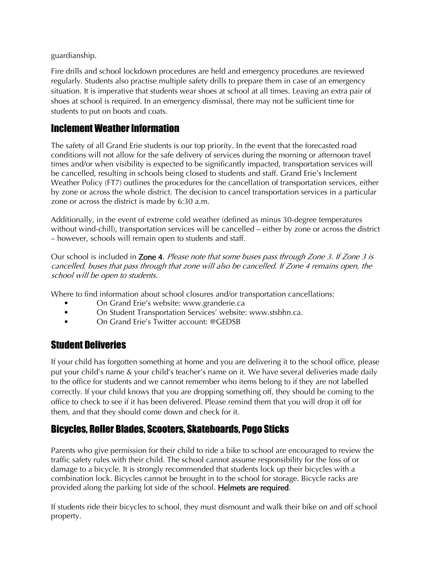guardianship.

Fire drills and school lockdown procedures are held and emergency procedures are reviewed regularly. Students also practise multiple safety drills to prepare them in case of an emergency situation. It is imperative that students wear shoes at school at all times. Leaving an extra pair of shoes at school is required. In an emergency dismissal, there may not be sufficient time for students to put on boots and coats.

#### Inclement Weather Information

The safety of all Grand Erie students is our top priority. In the event that the forecasted road conditions will not allow for the safe delivery of services during the morning or afternoon travel times and/or when visibility is expected to be significantly impacted, transportation services will be cancelled, resulting in schools being closed to students and staff. Grand Erie's Inclement Weather Policy (FT7) outlines the procedures for the cancellation of transportation services, either by zone or across the whole district. The decision to cancel transportation services in a particular zone or across the district is made by 6:30 a.m.

Additionally, in the event of extreme cold weather (defined as minus 30-degree temperatures without wind-chill), transportation services will be cancelled – either by zone or across the district – however, schools will remain open to students and staff.

Our school is included in Zone 4. Please note that some buses pass through Zone 3. If Zone 3 is cancelled, buses that pass through that zone will also be cancelled. If Zone <sup>4</sup> remains open, the school will be open to students.

Where to find information about school closures and/or transportation cancellations:

- On Grand Erie's website: www.granderie.ca
- On Student Transportation Services' website: www.stsbhn.ca.
- On Grand Erie's Twitter account: @GEDSB

#### Student Deliveries

If your child has forgotten something at home and you are delivering it to the school office, please put your child's name & your child's teacher's name on it. We have several deliveries made daily to the office for students and we cannot remember who items belong to if they are not labelled correctly. If your child knows that you are dropping something off, they should be coming to the office to check to see if it has been delivered. Please remind them that you will drop it off for them, and that they should come down and check for it.

## Bicycles, Roller Blades, Scooters, Skateboards, Pogo Sticks

Parents who give permission for their child to ride a bike to school are encouraged to review the traffic safety rules with their child. The school cannot assume responsibility for the loss of or damage to a bicycle. It is strongly recommended that students lock up their bicycles with a combination lock. Bicycles cannot be brought in to the school for storage. Bicycle racks are provided along the parking lot side of the school. Helmets are required.

If students ride their bicycles to school, they must dismount and walk their bike on and off school property.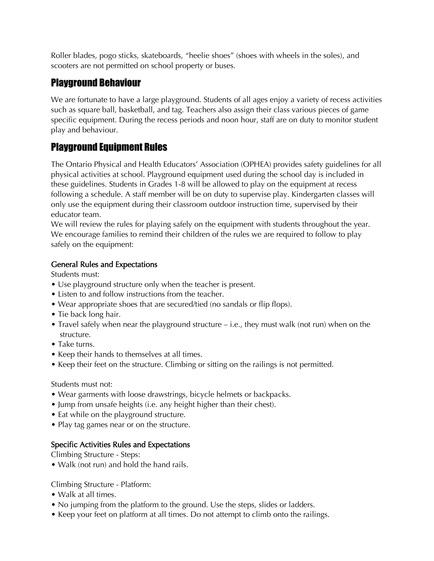Roller blades, pogo sticks, skateboards, "heelie shoes" (shoes with wheels in the soles), and scooters are not permitted on school property or buses.

#### Playground Behaviour

We are fortunate to have a large playground. Students of all ages enjoy a variety of recess activities such as square ball, basketball, and tag. Teachers also assign their class various pieces of game specific equipment. During the recess periods and noon hour, staff are on duty to monitor student play and behaviour.

## Playground Equipment Rules

The Ontario Physical and Health Educators' Association (OPHEA) provides safety guidelines for all physical activities at school. Playground equipment used during the school day is included in these guidelines. Students in Grades 1-8 will be allowed to play on the equipment at recess following a schedule. A staff member will be on duty to supervise play. Kindergarten classes will only use the equipment during their classroom outdoor instruction time, supervised by their educator team.

We will review the rules for playing safely on the equipment with students throughout the year. We encourage families to remind their children of the rules we are required to follow to play safely on the equipment:

#### General Rules and Expectations

Students must:

- Use playground structure only when the teacher is present.
- Listen to and follow instructions from the teacher.
- Wear appropriate shoes that are secured/tied (no sandals or flip flops).
- Tie back long hair.
- Travel safely when near the playground structure i.e., they must walk (not run) when on the structure.
- Take turns.
- Keep their hands to themselves at all times.
- Keep their feet on the structure. Climbing or sitting on the railings is not permitted.

#### Students must not:

- Wear garments with loose drawstrings, bicycle helmets or backpacks.
- Jump from unsafe heights (i.e. any height higher than their chest).
- Eat while on the playground structure.
- Play tag games near or on the structure.

#### Specific Activities Rules and Expectations

Climbing Structure - Steps:

• Walk (not run) and hold the hand rails.

Climbing Structure - Platform:

- Walk at all times.
- No jumping from the platform to the ground. Use the steps, slides or ladders.
- Keep your feet on platform at all times. Do not attempt to climb onto the railings.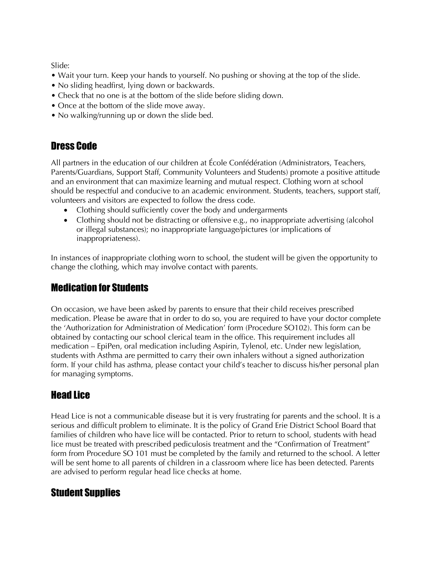Slide:

- Wait your turn. Keep your hands to yourself. No pushing or shoving at the top of the slide.
- No sliding headfirst, lying down or backwards.
- Check that no one is at the bottom of the slide before sliding down.
- Once at the bottom of the slide move away.
- No walking/running up or down the slide bed.

## Dress Code

All partners in the education of our children at École Confédération (Administrators, Teachers, Parents/Guardians, Support Staff, Community Volunteers and Students) promote a positive attitude and an environment that can maximize learning and mutual respect. Clothing worn at school should be respectful and conducive to an academic environment. Students, teachers, support staff, volunteers and visitors are expected to follow the dress code.

- Clothing should sufficiently cover the body and undergarments
- Clothing should not be distracting or offensive e.g., no inappropriate advertising (alcohol or illegal substances); no inappropriate language/pictures (or implications of inappropriateness).

In instances of inappropriate clothing worn to school, the student will be given the opportunity to change the clothing, which may involve contact with parents.

#### Medication for Students

On occasion, we have been asked by parents to ensure that their child receives prescribed medication. Please be aware that in order to do so, you are required to have your doctor complete the 'Authorization for Administration of Medication' form (Procedure SO102). This form can be obtained by contacting our school clerical team in the office. This requirement includes all medication – EpiPen, oral medication including Aspirin, Tylenol, etc. Under new legislation, students with Asthma are permitted to carry their own inhalers without a signed authorization form. If your child has asthma, please contact your child's teacher to discuss his/her personal plan for managing symptoms.

## Head Lice

Head Lice is not a communicable disease but it is very frustrating for parents and the school. It is a serious and difficult problem to eliminate. It is the policy of Grand Erie District School Board that families of children who have lice will be contacted. Prior to return to school, students with head lice must be treated with prescribed pediculosis treatment and the "Confirmation of Treatment" form from Procedure SO 101 must be completed by the family and returned to the school. A letter will be sent home to all parents of children in a classroom where lice has been detected. Parents are advised to perform regular head lice checks at home.

## Student Supplies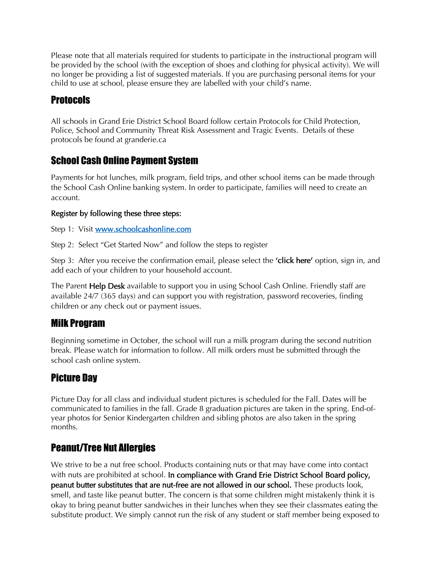Please note that all materials required for students to participate in the instructional program will be provided by the school (with the exception of shoes and clothing for physical activity). We will no longer be providing a list of suggested materials. If you are purchasing personal items for your child to use at school, please ensure they are labelled with your child's name.

## Protocols

All schools in Grand Erie District School Board follow certain Protocols for Child Protection, Police, School and Community Threat Risk Assessment and Tragic Events. Details of these protocols be found at granderie.ca

## School Cash Online Payment System

Payments for hot lunches, milk program, field trips, and other school items can be made through the School Cash Online banking system. In order to participate, families will need to create an account.

#### Register by following these three steps:

Step 1: Visit [www.schoolcashonline.com](http://www.schoolcashonline.com/)

Step 2: Select "Get Started Now" and follow the steps to register

Step 3: After you receive the confirmation email, please select the **'click here'** option, sign in, and add each of your children to your household account.

The Parent **Help Desk** available to support you in using School Cash Online. Friendly staff are available 24/7 (365 days) and can support you with registration, password recoveries, finding children or any check out or payment issues.

## Milk Program

Beginning sometime in October, the school will run a milk program during the second nutrition break. Please watch for information to follow. All milk orders must be submitted through the school cash online system.

## Picture Day

Picture Day for all class and individual student pictures is scheduled for the Fall. Dates will be communicated to families in the fall. Grade 8 graduation pictures are taken in the spring. End-ofyear photos for Senior Kindergarten children and sibling photos are also taken in the spring months.

## Peanut/Tree Nut Allergies

We strive to be a nut free school. Products containing nuts or that may have come into contact with nuts are prohibited at school. In compliance with Grand Erie District School Board policy, peanut butter substitutes that are nut-free are not allowed in our school. These products look, smell, and taste like peanut butter. The concern is that some children might mistakenly think it is okay to bring peanut butter sandwiches in their lunches when they see their classmates eating the substitute product. We simply cannot run the risk of any student or staff member being exposed to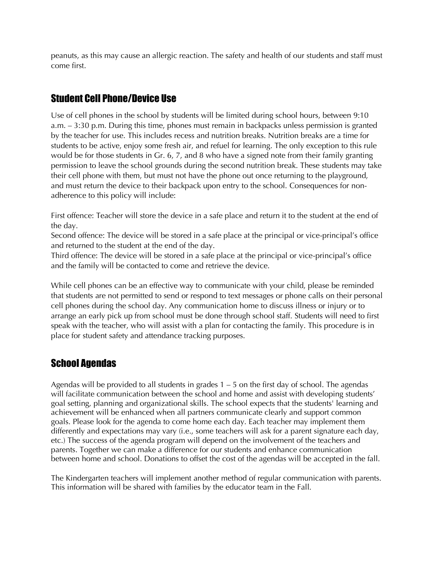peanuts, as this may cause an allergic reaction. The safety and health of our students and staff must come first.

## Student Cell Phone/Device Use

Use of cell phones in the school by students will be limited during school hours, between 9:10 a.m. – 3:30 p.m. During this time, phones must remain in backpacks unless permission is granted by the teacher for use. This includes recess and nutrition breaks. Nutrition breaks are a time for students to be active, enjoy some fresh air, and refuel for learning. The only exception to this rule would be for those students in Gr. 6, 7, and 8 who have a signed note from their family granting permission to leave the school grounds during the second nutrition break. These students may take their cell phone with them, but must not have the phone out once returning to the playground, and must return the device to their backpack upon entry to the school. Consequences for nonadherence to this policy will include:

First offence: Teacher will store the device in a safe place and return it to the student at the end of the day.

Second offence: The device will be stored in a safe place at the principal or vice-principal's office and returned to the student at the end of the day.

Third offence: The device will be stored in a safe place at the principal or vice-principal's office and the family will be contacted to come and retrieve the device.

While cell phones can be an effective way to communicate with your child, please be reminded that students are not permitted to send or respond to text messages or phone calls on their personal cell phones during the school day. Any communication home to discuss illness or injury or to arrange an early pick up from school must be done through school staff. Students will need to first speak with the teacher, who will assist with a plan for contacting the family. This procedure is in place for student safety and attendance tracking purposes.

## School Agendas

Agendas will be provided to all students in grades  $1 - 5$  on the first day of school. The agendas will facilitate communication between the school and home and assist with developing students' goal setting, planning and organizational skills. The school expects that the students' learning and achievement will be enhanced when all partners communicate clearly and support common goals. Please look for the agenda to come home each day. Each teacher may implement them differently and expectations may vary (i.e., some teachers will ask for a parent signature each day, etc.) The success of the agenda program will depend on the involvement of the teachers and parents. Together we can make a difference for our students and enhance communication between home and school. Donations to offset the cost of the agendas will be accepted in the fall.

The Kindergarten teachers will implement another method of regular communication with parents. This information will be shared with families by the educator team in the Fall.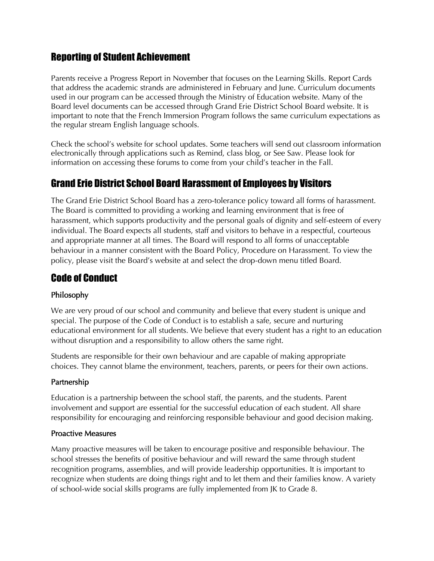#### Reporting of Student Achievement

Parents receive a Progress Report in November that focuses on the Learning Skills. Report Cards that address the academic strands are administered in February and June. Curriculum documents used in our program can be accessed through the Ministry of Education website. Many of the Board level documents can be accessed through Grand Erie District School Board website. It is important to note that the French Immersion Program follows the same curriculum expectations as the regular stream English language schools.

Check the school's website for school updates. Some teachers will send out classroom information electronically through applications such as Remind, class blog, or See Saw. Please look for information on accessing these forums to come from your child's teacher in the Fall.

## Grand Erie District School Board Harassment of Employees by Visitors

The Grand Erie District School Board has a zero-tolerance policy toward all forms of harassment. The Board is committed to providing a working and learning environment that is free of harassment, which supports productivity and the personal goals of dignity and self-esteem of every individual. The Board expects all students, staff and visitors to behave in a respectful, courteous and appropriate manner at all times. The Board will respond to all forms of unacceptable behaviour in a manner consistent with the Board Policy, Procedure on Harassment. To view the policy, please visit the Board's website at and select the drop-down menu titled Board.

## Code of Conduct

#### Philosophy

We are very proud of our school and community and believe that every student is unique and special. The purpose of the Code of Conduct is to establish a safe, secure and nurturing educational environment for all students. We believe that every student has a right to an education without disruption and a responsibility to allow others the same right.

Students are responsible for their own behaviour and are capable of making appropriate choices. They cannot blame the environment, teachers, parents, or peers for their own actions.

#### Partnership

Education is a partnership between the school staff, the parents, and the students. Parent involvement and support are essential for the successful education of each student. All share responsibility for encouraging and reinforcing responsible behaviour and good decision making.

#### Proactive Measures

Many proactive measures will be taken to encourage positive and responsible behaviour. The school stresses the benefits of positive behaviour and will reward the same through student recognition programs, assemblies, and will provide leadership opportunities. It is important to recognize when students are doing things right and to let them and their families know. A variety of school-wide social skills programs are fully implemented from JK to Grade 8.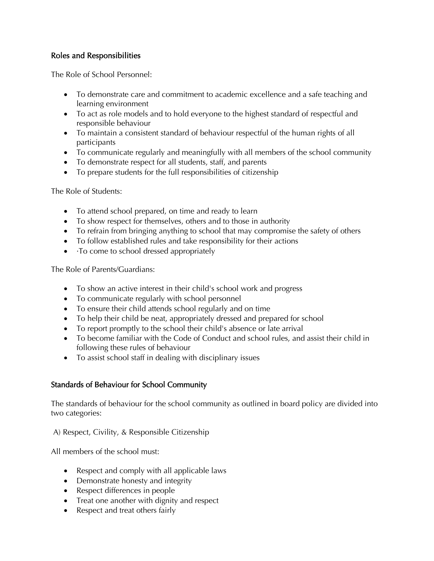#### Roles and Responsibilities

The Role of School Personnel:

- To demonstrate care and commitment to academic excellence and a safe teaching and learning environment
- To act as role models and to hold everyone to the highest standard of respectful and responsible behaviour
- To maintain a consistent standard of behaviour respectful of the human rights of all participants
- To communicate regularly and meaningfully with all members of the school community
- To demonstrate respect for all students, staff, and parents
- To prepare students for the full responsibilities of citizenship

The Role of Students:

- To attend school prepared, on time and ready to learn
- To show respect for themselves, others and to those in authority
- To refrain from bringing anything to school that may compromise the safety of others
- To follow established rules and take responsibility for their actions
- To come to school dressed appropriately

The Role of Parents/Guardians:

- To show an active interest in their child's school work and progress
- To communicate regularly with school personnel
- To ensure their child attends school regularly and on time
- To help their child be neat, appropriately dressed and prepared for school
- To report promptly to the school their child's absence or late arrival
- To become familiar with the Code of Conduct and school rules, and assist their child in following these rules of behaviour
- To assist school staff in dealing with disciplinary issues

#### Standards of Behaviour for School Community

The standards of behaviour for the school community as outlined in board policy are divided into two categories:

A) Respect, Civility, & Responsible Citizenship

All members of the school must:

- Respect and comply with all applicable laws
- Demonstrate honesty and integrity
- Respect differences in people
- Treat one another with dignity and respect
- Respect and treat others fairly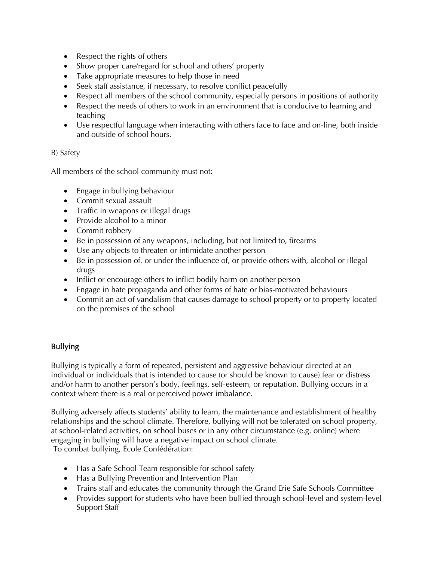- Respect the rights of others
- Show proper care/regard for school and others' property
- Take appropriate measures to help those in need
- Seek staff assistance, if necessary, to resolve conflict peacefully
- Respect all members of the school community, especially persons in positions of authority
- Respect the needs of others to work in an environment that is conducive to learning and teaching
- Use respectful language when interacting with others face to face and on-line, both inside and outside of school hours.

#### B) Safety

All members of the school community must not:

- Engage in bullying behaviour
- Commit sexual assault
- Traffic in weapons or illegal drugs
- Provide alcohol to a minor
- Commit robbery
- Be in possession of any weapons, including, but not limited to, firearms
- Use any objects to threaten or intimidate another person
- Be in possession of, or under the influence of, or provide others with, alcohol or illegal drugs
- Inflict or encourage others to inflict bodily harm on another person
- Engage in hate propaganda and other forms of hate or bias-motivated behaviours
- Commit an act of vandalism that causes damage to school property or to property located on the premises of the school

#### Bullying

Bullying is typically a form of repeated, persistent and aggressive behaviour directed at an individual or individuals that is intended to cause (or should be known to cause) fear or distress and/or harm to another person's body, feelings, self-esteem, or reputation. Bullying occurs in a context where there is a real or perceived power imbalance.

Bullying adversely affects students' ability to learn, the maintenance and establishment of healthy relationships and the school climate. Therefore, bullying will not be tolerated on school property, at school-related activities, on school buses or in any other circumstance (e.g. online) where engaging in bullying will have a negative impact on school climate. To combat bullying, École Confédération:

- Has a Safe School Team responsible for school safety
- Has a Bullying Prevention and Intervention Plan
- Trains staff and educates the community through the Grand Erie Safe Schools Committee
- Provides support for students who have been bullied through school-level and system-level Support Staff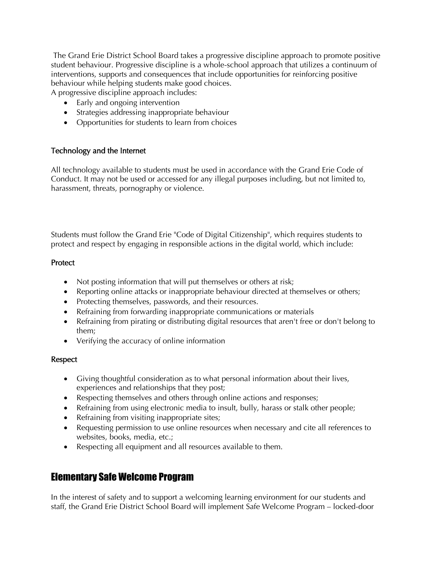The Grand Erie District School Board takes a progressive discipline approach to promote positive student behaviour. Progressive discipline is a whole-school approach that utilizes a continuum of interventions, supports and consequences that include opportunities for reinforcing positive behaviour while helping students make good choices. A progressive discipline approach includes:

- Early and ongoing intervention
- Strategies addressing inappropriate behaviour
- Opportunities for students to learn from choices

#### Technology and the Internet

All technology available to students must be used in accordance with the Grand Erie Code of Conduct. It may not be used or accessed for any illegal purposes including, but not limited to, harassment, threats, pornography or violence.

Students must follow the Grand Erie "Code of Digital Citizenship", which requires students to protect and respect by engaging in responsible actions in the digital world, which include:

#### **Protect**

- Not posting information that will put themselves or others at risk;
- Reporting online attacks or inappropriate behaviour directed at themselves or others;
- Protecting themselves, passwords, and their resources.
- Refraining from forwarding inappropriate communications or materials
- Refraining from pirating or distributing digital resources that aren't free or don't belong to them;
- Verifying the accuracy of online information

#### Respect

- Giving thoughtful consideration as to what personal information about their lives, experiences and relationships that they post;
- Respecting themselves and others through online actions and responses;
- Refraining from using electronic media to insult, bully, harass or stalk other people;
- Refraining from visiting inappropriate sites;
- Requesting permission to use online resources when necessary and cite all references to websites, books, media, etc.;
- Respecting all equipment and all resources available to them.

#### Elementary Safe Welcome Program

In the interest of safety and to support a welcoming learning environment for our students and staff, the Grand Erie District School Board will implement Safe Welcome Program – locked-door